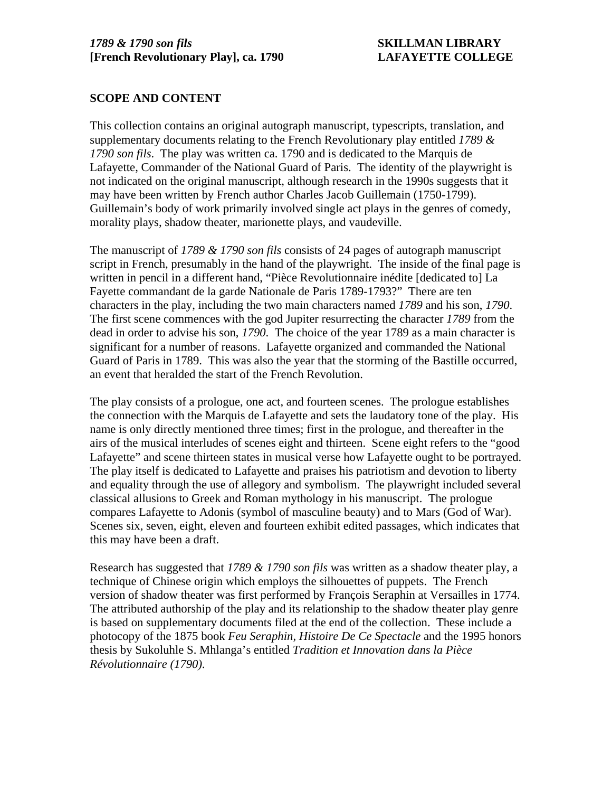### **SCOPE AND CONTENT**

This collection contains an original autograph manuscript, typescripts, translation, and supplementary documents relating to the French Revolutionary play entitled *1789 & 1790 son fils*. The play was written ca. 1790 and is dedicated to the Marquis de Lafayette, Commander of the National Guard of Paris. The identity of the playwright is not indicated on the original manuscript, although research in the 1990s suggests that it may have been written by French author Charles Jacob Guillemain (1750-1799). Guillemain's body of work primarily involved single act plays in the genres of comedy, morality plays, shadow theater, marionette plays, and vaudeville.

The manuscript of *1789 & 1790 son fils* consists of 24 pages of autograph manuscript script in French, presumably in the hand of the playwright. The inside of the final page is written in pencil in a different hand, "Pièce Revolutionnaire inédite [dedicated to] La Fayette commandant de la garde Nationale de Paris 1789-1793?" There are ten characters in the play, including the two main characters named *1789* and his son, *1790*. The first scene commences with the god Jupiter resurrecting the character *1789* from the dead in order to advise his son, *1790*. The choice of the year 1789 as a main character is significant for a number of reasons. Lafayette organized and commanded the National Guard of Paris in 1789. This was also the year that the storming of the Bastille occurred, an event that heralded the start of the French Revolution.

The play consists of a prologue, one act, and fourteen scenes. The prologue establishes the connection with the Marquis de Lafayette and sets the laudatory tone of the play. His name is only directly mentioned three times; first in the prologue, and thereafter in the airs of the musical interludes of scenes eight and thirteen. Scene eight refers to the "good Lafayette" and scene thirteen states in musical verse how Lafayette ought to be portrayed. The play itself is dedicated to Lafayette and praises his patriotism and devotion to liberty and equality through the use of allegory and symbolism. The playwright included several classical allusions to Greek and Roman mythology in his manuscript. The prologue compares Lafayette to Adonis (symbol of masculine beauty) and to Mars (God of War). Scenes six, seven, eight, eleven and fourteen exhibit edited passages, which indicates that this may have been a draft.

Research has suggested that *1789 & 1790 son fils* was written as a shadow theater play, a technique of Chinese origin which employs the silhouettes of puppets. The French version of shadow theater was first performed by François Seraphin at Versailles in 1774. The attributed authorship of the play and its relationship to the shadow theater play genre is based on supplementary documents filed at the end of the collection. These include a photocopy of the 1875 book *Feu Seraphin, Histoire De Ce Spectacle* and the 1995 honors thesis by Sukoluhle S. Mhlanga's entitled *Tradition et Innovation dans la Pièce Révolutionnaire (1790)*.